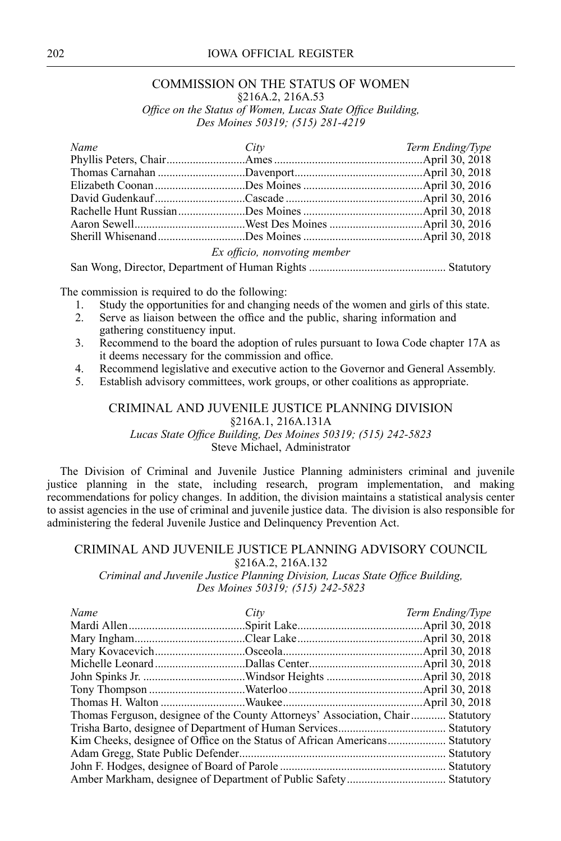## 202 IOWA OFFICIAL REGISTER

# COMMISSION ON THE STATUS OF WOMEN

§216A.2, 216A.53

*Office on the Status of Women, Lucas State Office Building, Des Moines 50319; (515) 281-4219*

| Name | City                         | Term Ending/Type |
|------|------------------------------|------------------|
|      |                              |                  |
|      |                              |                  |
|      |                              |                  |
|      |                              |                  |
|      |                              |                  |
|      |                              |                  |
|      |                              |                  |
|      | Ex officio, nonvoting member |                  |

San Wong, Director, Department of Human Rights ............................................... Statutory

The commission is required to do the following:

- 1. Study the opportunities for and changing needs of the women and girls of this state.
- 2. Serve as liaison between the office and the public, sharing information and gathering constituency input.
- 3. Recommend to the board the adoption of rules pursuan<sup>t</sup> to Iowa Code chapter 17A as it deems necessary for the commission and office.
- 4. Recommend legislative and executive action to the Governor and General Assembly.
- 5. Establish advisory committees, work groups, or other coalitions as appropriate.

#### CRIMINAL AND JUVENILE JUSTICE PLANNING DIVISION §216A.1, 216A.131A *Lucas State Office Building, Des Moines 50319; (515) 242-5823* Steve Michael, Administrator

The Division of Criminal and Juvenile Justice Planning administers criminal and juvenile justice planning in the state, including research, program implementation, and making recommendations for policy changes. In addition, the division maintains <sup>a</sup> statistical analysis center to assist agencies in the use of criminal and juvenile justice data. The division is also responsible for administering the federal Juvenile Justice and Delinquency Prevention Act.

## CRIMINAL AND JUVENILE JUSTICE PLANNING ADVISORY COUNCIL §216A.2, 216A.132

*Criminal and Juvenile Justice Planning Division, Lucas State Office Building, Des Moines 50319; (515) 242-5823*

| Name                                                                            | City | Term Ending/Type |
|---------------------------------------------------------------------------------|------|------------------|
|                                                                                 |      |                  |
|                                                                                 |      |                  |
|                                                                                 |      |                  |
|                                                                                 |      |                  |
|                                                                                 |      |                  |
|                                                                                 |      |                  |
|                                                                                 |      |                  |
| Thomas Ferguson, designee of the County Attorneys' Association, Chair Statutory |      |                  |
|                                                                                 |      |                  |
|                                                                                 |      |                  |
|                                                                                 |      |                  |
|                                                                                 |      | Statutory        |
|                                                                                 |      |                  |